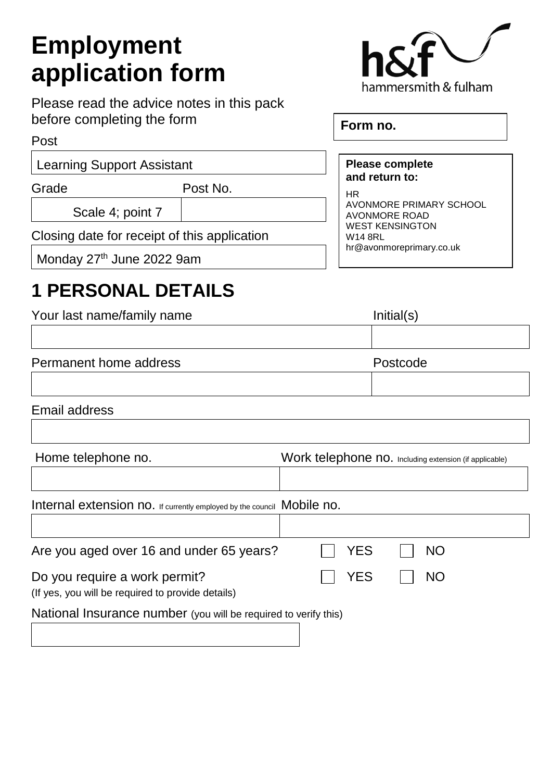# **Employment application form**

Please read the advice notes in this pack before completing the form

#### Post

Learning Support Assistant

Grade Post No.

Scale 4; point 7

Closing date for receipt of this application

Monday 27<sup>th</sup> June 2022 9am

## **1 PERSONAL DETAILS**

| Your last name/family name                                                         | Initial(s)                                             |
|------------------------------------------------------------------------------------|--------------------------------------------------------|
|                                                                                    |                                                        |
| Permanent home address                                                             | Postcode                                               |
|                                                                                    |                                                        |
| <b>Email address</b>                                                               |                                                        |
|                                                                                    |                                                        |
| Home telephone no.                                                                 | Work telephone no. Including extension (if applicable) |
|                                                                                    |                                                        |
| Internal extension no. If currently employed by the council Mobile no.             |                                                        |
|                                                                                    |                                                        |
| Are you aged over 16 and under 65 years?                                           | <b>YES</b><br><b>NO</b>                                |
| Do you require a work permit?<br>(If yes, you will be required to provide details) | <b>YES</b><br><b>NO</b>                                |

National Insurance number (you will be required to verify this)



**Form no.** 

#### **Please complete and return to:**

HR AVONMORE PRIMARY SCHOOL AVONMORE ROAD WEST KENSINGTON W14 8RL hr@avonmoreprimary.co.uk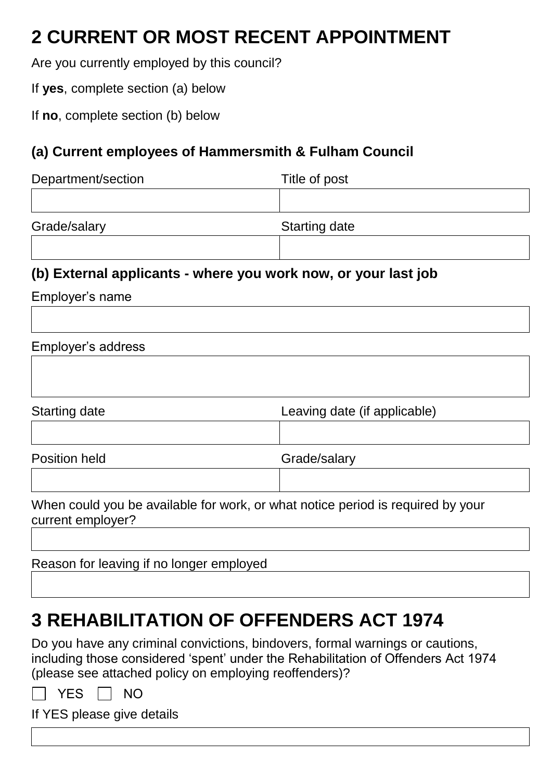## **2 CURRENT OR MOST RECENT APPOINTMENT**

Are you currently employed by this council?

If **yes**, complete section (a) below

If **no**, complete section (b) below

### **(a) Current employees of Hammersmith & Fulham Council**

| Department/section | Title of post |
|--------------------|---------------|
|                    |               |

Grade/salary Starting date

### **(b) External applicants - where you work now, or your last job**

Employer's name

### Employer's address

| Starting date | Leaving date (if applicable) |
|---------------|------------------------------|
|               |                              |

Position held Grade/salary

When could you be available for work, or what notice period is required by your current employer?

Reason for leaving if no longer employed

## **3 REHABILITATION OF OFFENDERS ACT 1974**

Do you have any criminal convictions, bindovers, formal warnings or cautions, including those considered 'spent' under the Rehabilitation of Offenders Act 1974 (please see attached policy on employing reoffenders)?

YES | | NO

If YES please give details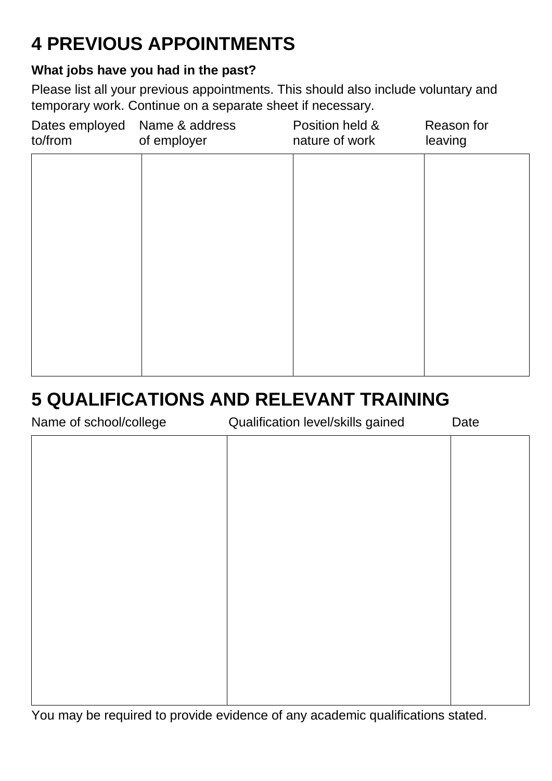# **4 PREVIOUS APPOINTMENTS**

### **What jobs have you had in the past?**

Please list all your previous appointments. This should also include voluntary and temporary work. Continue on a separate sheet if necessary.

| Dates employed<br>to/from | Name & address<br>of employer | Position held &<br>nature of work | Reason for<br>leaving |
|---------------------------|-------------------------------|-----------------------------------|-----------------------|
|                           |                               |                                   |                       |
|                           |                               |                                   |                       |
|                           |                               |                                   |                       |
|                           |                               |                                   |                       |
|                           |                               |                                   |                       |
|                           |                               |                                   |                       |

## **5 QUALIFICATIONS AND RELEVANT TRAINING**

Name of school/college Qualification level/skills gained Date

| <b>INQUILE OF SUITOUR CONFIGUE</b> | Qualification idvolvements gained | Dalo |
|------------------------------------|-----------------------------------|------|
|                                    |                                   |      |
|                                    |                                   |      |
|                                    |                                   |      |
|                                    |                                   |      |
|                                    |                                   |      |
|                                    |                                   |      |
|                                    |                                   |      |
|                                    |                                   |      |
|                                    |                                   |      |
|                                    |                                   |      |
|                                    |                                   |      |
|                                    |                                   |      |
|                                    |                                   |      |
|                                    |                                   |      |
|                                    |                                   |      |
|                                    |                                   |      |
|                                    |                                   |      |
|                                    |                                   |      |
|                                    |                                   |      |
|                                    |                                   |      |

You may be required to provide evidence of any academic qualifications stated.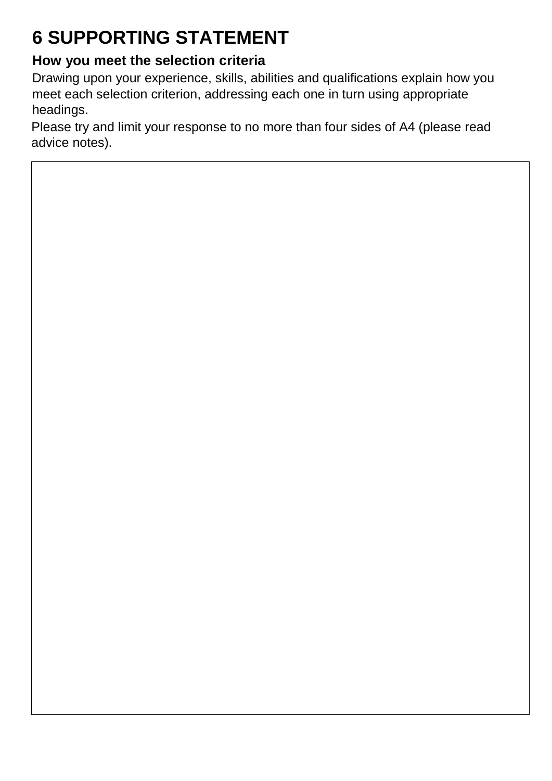# **6 SUPPORTING STATEMENT**

### **How you meet the selection criteria**

Drawing upon your experience, skills, abilities and qualifications explain how you meet each selection criterion, addressing each one in turn using appropriate headings.

Please try and limit your response to no more than four sides of A4 (please read advice notes).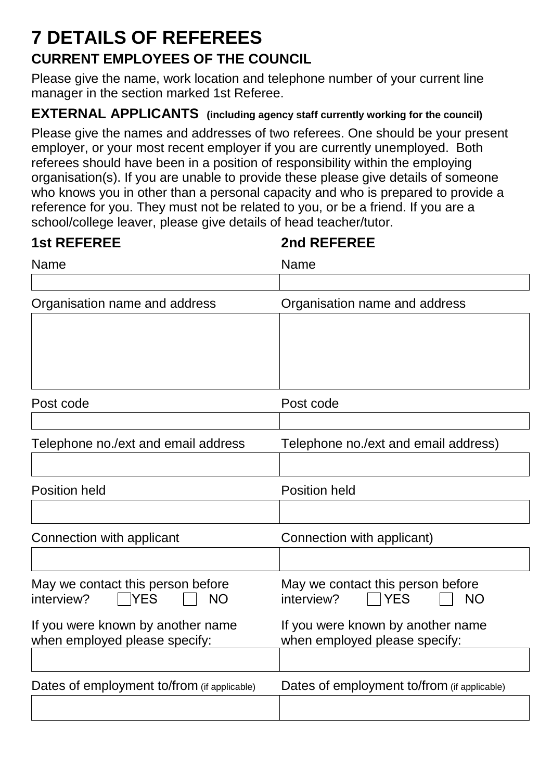## **7 DETAILS OF REFEREES CURRENT EMPLOYEES OF THE COUNCIL**

Please give the name, work location and telephone number of your current line manager in the section marked 1st Referee.

### **EXTERNAL APPLICANTS (including agency staff currently working for the council)**

Please give the names and addresses of two referees. One should be your present employer, or your most recent employer if you are currently unemployed. Both referees should have been in a position of responsibility within the employing organisation(s). If you are unable to provide these please give details of someone who knows you in other than a personal capacity and who is prepared to provide a reference for you. They must not be related to you, or be a friend. If you are a school/college leaver, please give details of head teacher/tutor.

| <b>1st REFEREE</b>                                                         | 2nd REFEREE                                                                |
|----------------------------------------------------------------------------|----------------------------------------------------------------------------|
| Name                                                                       | Name                                                                       |
|                                                                            |                                                                            |
| Organisation name and address                                              | Organisation name and address                                              |
|                                                                            |                                                                            |
|                                                                            |                                                                            |
| Post code                                                                  | Post code                                                                  |
|                                                                            |                                                                            |
| Telephone no./ext and email address                                        | Telephone no./ext and email address)                                       |
|                                                                            |                                                                            |
| <b>Position held</b>                                                       | <b>Position held</b>                                                       |
|                                                                            |                                                                            |
| Connection with applicant                                                  | Connection with applicant)                                                 |
|                                                                            |                                                                            |
| May we contact this person before<br><b>YES</b><br><b>NO</b><br>interview? | May we contact this person before<br><b>YES</b><br>interview?<br><b>NO</b> |
| If you were known by another name<br>when employed please specify:         | If you were known by another name<br>when employed please specify:         |
|                                                                            |                                                                            |
| Dates of employment to/from (if applicable)                                | Dates of employment to/from (if applicable)                                |
|                                                                            |                                                                            |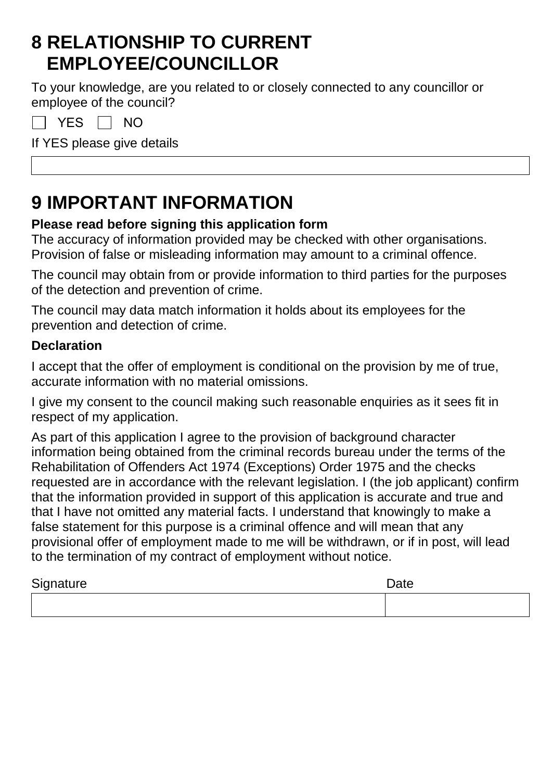## **8 RELATIONSHIP TO CURRENT EMPLOYEE/COUNCILLOR**

To your knowledge, are you related to or closely connected to any councillor or employee of the council?

YES  $\Box$  NO

If YES please give details

## **9 IMPORTANT INFORMATION**

### **Please read before signing this application form**

The accuracy of information provided may be checked with other organisations. Provision of false or misleading information may amount to a criminal offence.

The council may obtain from or provide information to third parties for the purposes of the detection and prevention of crime.

The council may data match information it holds about its employees for the prevention and detection of crime.

### **Declaration**

I accept that the offer of employment is conditional on the provision by me of true, accurate information with no material omissions.

I give my consent to the council making such reasonable enquiries as it sees fit in respect of my application.

As part of this application I agree to the provision of background character information being obtained from the criminal records bureau under the terms of the Rehabilitation of Offenders Act 1974 (Exceptions) Order 1975 and the checks requested are in accordance with the relevant legislation. I (the job applicant) confirm that the information provided in support of this application is accurate and true and that I have not omitted any material facts. I understand that knowingly to make a false statement for this purpose is a criminal offence and will mean that any provisional offer of employment made to me will be withdrawn, or if in post, will lead to the termination of my contract of employment without notice.

| Signature | Date |
|-----------|------|
|           |      |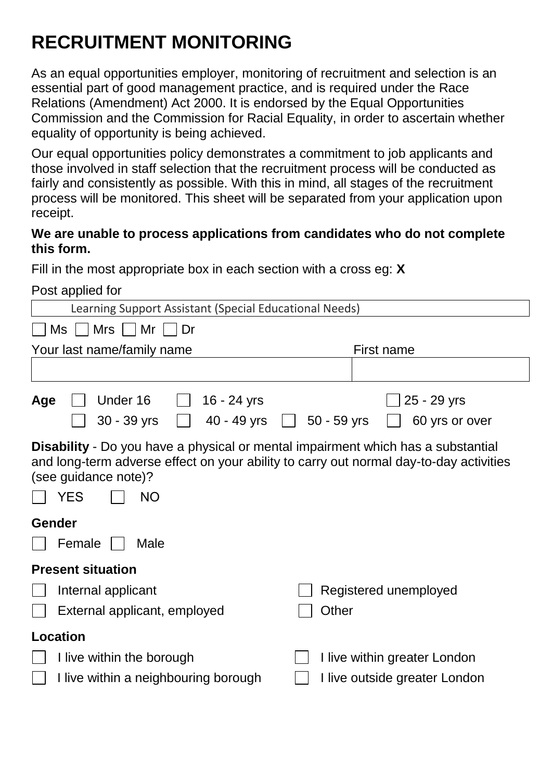## **RECRUITMENT MONITORING**

As an equal opportunities employer, monitoring of recruitment and selection is an essential part of good management practice, and is required under the Race Relations (Amendment) Act 2000. It is endorsed by the Equal Opportunities Commission and the Commission for Racial Equality, in order to ascertain whether equality of opportunity is being achieved.

Our equal opportunities policy demonstrates a commitment to job applicants and those involved in staff selection that the recruitment process will be conducted as fairly and consistently as possible. With this in mind, all stages of the recruitment process will be monitored. This sheet will be separated from your application upon receipt.

#### **We are unable to process applications from candidates who do not complete this form.**

Fill in the most appropriate box in each section with a cross eg: **X**

Post applied for

| Learning Support Assistant (Special Educational Needs)                                                                                                                                                                               |                                                |
|--------------------------------------------------------------------------------------------------------------------------------------------------------------------------------------------------------------------------------------|------------------------------------------------|
| <b>Mrs</b><br>Mr<br>Ms<br>Dr                                                                                                                                                                                                         |                                                |
| Your last name/family name                                                                                                                                                                                                           | <b>First name</b>                              |
|                                                                                                                                                                                                                                      |                                                |
| Under 16<br>16 - 24 yrs<br>Age<br>40 - 49 yrs<br>$30 - 39$ yrs                                                                                                                                                                       | 25 - 29 yrs<br>$50 - 59$ yrs<br>60 yrs or over |
| <b>Disability</b> - Do you have a physical or mental impairment which has a substantial<br>and long-term adverse effect on your ability to carry out normal day-to-day activities<br>(see guidance note)?<br><b>YES</b><br><b>NO</b> |                                                |
| Gender                                                                                                                                                                                                                               |                                                |
| Female<br>Male                                                                                                                                                                                                                       |                                                |
| <b>Present situation</b>                                                                                                                                                                                                             |                                                |
| Internal applicant                                                                                                                                                                                                                   | Registered unemployed                          |
| External applicant, employed                                                                                                                                                                                                         | Other                                          |
| <b>Location</b>                                                                                                                                                                                                                      |                                                |
| I live within the borough                                                                                                                                                                                                            | I live within greater London                   |
| I live within a neighbouring borough                                                                                                                                                                                                 | I live outside greater London                  |